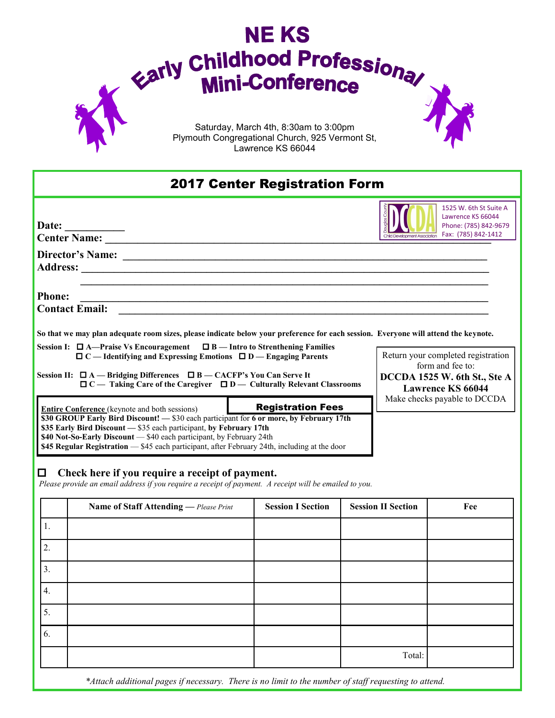

## 2017 Center Registration Form



1525 W. 6th St Suite A Lawrence KS 66044 Phone: (785) 842-9679 Fax: (785) 842-1412

Return your completed registration form and fee to: **DCCDA 1525 W. 6th St., Ste A Lawrence KS 66044** Make checks payable to DCCDA

**Director's Name: \_\_\_\_\_\_\_\_\_\_\_\_\_\_\_\_\_\_\_\_\_\_\_\_\_\_\_\_\_\_\_\_\_\_\_\_\_\_\_\_\_\_\_\_\_\_\_\_\_\_\_\_\_\_\_\_\_\_\_\_\_\_\_\_\_\_\_ Address: \_\_\_\_\_\_\_\_\_\_\_\_\_\_\_\_\_\_\_\_\_\_\_\_\_\_\_\_\_\_\_\_\_\_\_\_\_\_\_\_\_\_\_\_\_\_\_\_\_\_\_\_\_\_\_\_\_\_\_\_\_\_\_\_\_\_\_\_\_\_\_\_\_\_\_**

**Phone: \_\_\_\_\_\_\_\_\_\_\_\_\_\_\_\_\_\_\_\_\_\_\_\_\_\_\_\_\_\_\_\_\_\_\_\_\_\_\_\_\_\_\_\_\_\_\_\_\_\_\_\_\_\_\_\_\_\_\_\_\_\_\_\_\_\_\_\_\_\_\_\_\_\_\_**

**Date: \_\_\_\_\_\_\_\_\_\_\_**

**Contact Email:**  $\blacksquare$ 

**So that we may plan adequate room sizes, please indicate below your preference for each session. Everyone will attend the keynote.** 

 **\_\_\_\_\_\_\_\_\_\_\_\_\_\_\_\_\_\_\_\_\_\_\_\_\_\_\_\_\_\_\_\_\_\_\_\_\_\_\_\_\_\_\_\_\_\_\_\_\_\_\_\_\_\_\_\_\_\_\_\_\_\_\_\_\_\_\_\_\_\_\_\_\_\_\_**

**Session I: A—Praise Vs Encouragement B — Intro to Strenthening Families C — Identifying and Expressing Emotions D — Engaging Parents** 

**Center Name: \_\_\_\_\_\_\_\_\_\_\_\_\_\_\_\_\_\_\_\_\_\_\_\_\_\_\_\_\_\_\_\_\_\_\_\_\_\_\_\_\_\_\_\_\_\_\_\_\_\_\_\_\_\_\_\_\_\_\_\_\_\_\_\_\_\_\_\_\_\_\_**

**Session II: A — Bridging Differences B — CACFP's You Can Serve It C — Taking Care of the Caregiver D — Culturally Relevant Classrooms**

**Entire Conference (keynote and both sessions) Registration Fees \$30 GROUP Early Bird Discount! —** \$30 each participant for **6 or more, by February 17th \$35 Early Bird Discount —** \$35 each participant, **by February 17th \$40 Not-So-Early Discount** — \$40 each participant, by February 24th **\$45 Regular Registration** — \$45 each participant, after February 24th, including at the door

## **Check here if you require a receipt of payment.**

*Please provide an email address if you require a receipt of payment. A receipt will be emailed to you.*

|                  | Name of Staff Attending - Please Print | <b>Session I Section</b> | <b>Session II Section</b> | Fee |
|------------------|----------------------------------------|--------------------------|---------------------------|-----|
| 1.               |                                        |                          |                           |     |
| 2.               |                                        |                          |                           |     |
| 3.               |                                        |                          |                           |     |
| $\overline{4}$ . |                                        |                          |                           |     |
| 5.               |                                        |                          |                           |     |
| 6.               |                                        |                          |                           |     |
|                  |                                        |                          | Total:                    |     |

*\*Attach additional pages if necessary. There is no limit to the number of staff requesting to attend.*